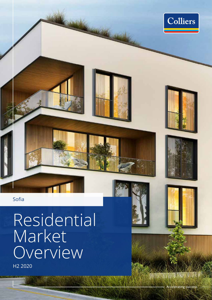

Sofia

Residential Market **Overview** 



W.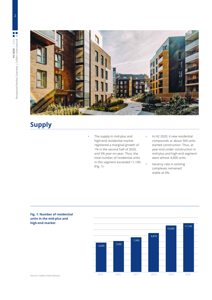



# **Supply**

- The supply in mid-plus and high-end residential market registered a marginal growth of 1% in the second half of 2020, and 5% year-on-year. Thus, the total number of residential units in this segment exceeded 11,100. (Fig. 1)
- In H2 2020, 4 new residential compounds or about 560 units started construction. Thus, at year-end under construction in mid-plus and high-end segment were almost 4,000 units.
- Vacancy rate in existing complexes remained stable at 4%.



#### **Fig. 1: Number of residential units in the mid-plus and high-end market**

Source: Colliers International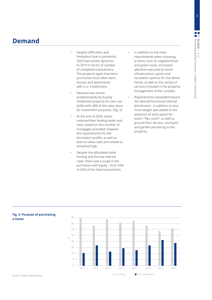## **Demand**

- Despite difficulties and limitations due to pandemic, 2020 had similar dynamics to 2019 in terms of number of completed transactions. The property types that were purchased most often were houses and apartments with 2 or 3 bedrooms.
- Demand was driven predominantly by buying residential property for own use (62%) with 38% of the sales done for investment purposes. (Fig. 2)
- At the end of 2020, banks restored their lending levels and rates, based on the number of mortgages provided, however the requirements for the borrowers' profile, as well as loan-to-value ratio and collateral, remained high.
- Despite the affordable bank lending and the low interest rates, there was a surge in the purchases with equity - from 43% to 62% of the total transactions.

• In addition to the main requirements when choosing a home, such as neighborhood and green areas, increased attention was paid to social infrastructure, sports and recreation options for the whole family, as well as the variety of services included in the property management of the complex.

Requirements expanded toward the desired functional internal distribution - in addition to size, more weight was added to the presence of extra space for work / "flex room", as well as ground floor terrace, courtyard and garden pertaining to the property.



 $\blacksquare$  For living  $\blacksquare$  For investment

#### **Fig. 2: Purpose of purchasing a home**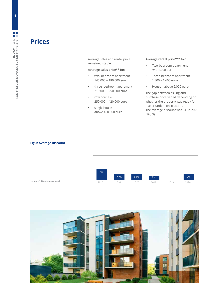### **Prices**

Average sales and rental price remained stable:

#### **Average sales price\*\* for:**

- two–bedroom apartment 145,000 – 180,000 euro
- three–bedroom apartment 210,000 – 250,000 euro
- row house 250,000 – 420,000 euro
- single house above 450,000 euro.

#### **Average rental price\*\*\* for:**

- Two-bedroom apartment 950-1,200 euro
- Three-bedroom apartment 1,300 – 1,600 euro
- House above 2,000 euro.

The gap between asking and purchase price varied depending on whether the property was ready for use or under construction. The average discount was 3% in 2020. (Fig. 3)

#### **Fig.3: Average Discount**





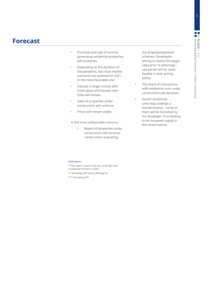### **Forecast**

- Purchase and sale of incomegenerating residential properties will accelerate.
- Depending on the duration of the pandemic, two main market scenarios are outlined for 2021. In the more favorable one:
- Interest in larger homes with more space and houses near Sofia will remain.
- Sales of properties under construction will continue.
- Prices will remain stable.

In the more unfavorable scenario:

• Buyers of properties under construction will be more careful when evaluating

the proposed payment schemes. Developers aiming to realize the target sales prior to obtaining \ use permit will be more flexible in their pricing policy.

- The share of transactions with residential units under construction will decrease.
- Vacant residential units may undergo a transformation - some of them will be furnished by the developer, thus leading to an increased supply in the rental market.

#### Definitions:

- \* The report covers mid-plus and high-end residential market in Sofia
- \*\* Including VAT and a parking lot
- \*\*\* Including VAT